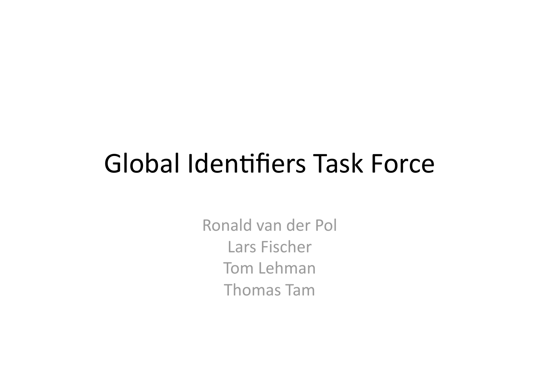#### Global Identifiers Task Force

Ronald
van
der
Pol Lars
Fischer Tom
Lehman Thomas
Tam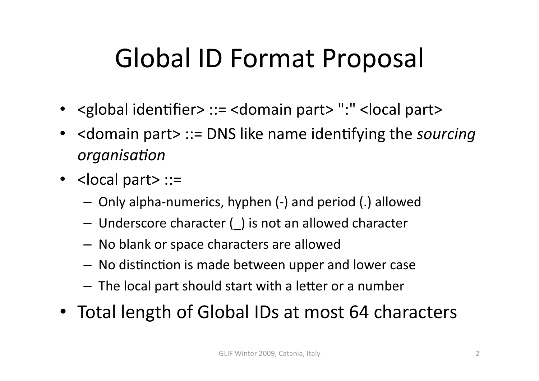# Global
ID
Format
Proposal

- < global identifier> ::= < domain part> ": "< local part>
- <domain part> ::= DNS like name identifying the *sourcing organisa+on*
- <local part> ::=
	- Only
	alpha‐numerics,
	hyphen
	(‐)
	and
	period
	(.)
	allowed
	- Underscore character () is not an allowed character
	- No
	blank
	or
	space
	characters
	are
	allowed
	- No distinction is made between upper and lower case
	- The local part should start with a letter or a number
- Total length of Global IDs at most 64 characters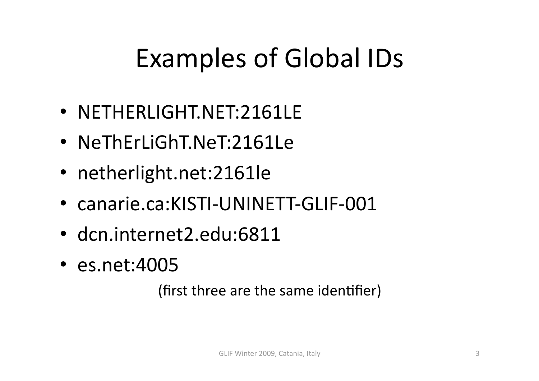# Examples of Global IDs

- NETHERLIGHT.NET:2161LE
- NeThErLiGhT.NeT:2161Le
- netherlight.net:2161le
- canarie.ca:KISTI-UNINETT-GLIF-001
- dcn.internet2.edu:6811
- es.net:4005

(first three are the same identifier)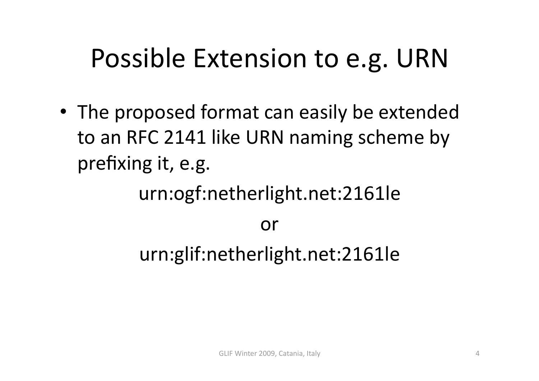### Possible
Extension
to
e.g.
URN

• The proposed format can easily be extended to
an
RFC
2141
like
URN
naming
scheme
by prefixing
it,
e.g.

urn:ogf:netherlight.net:2161le

or

urn:glif:netherlight.net:2161le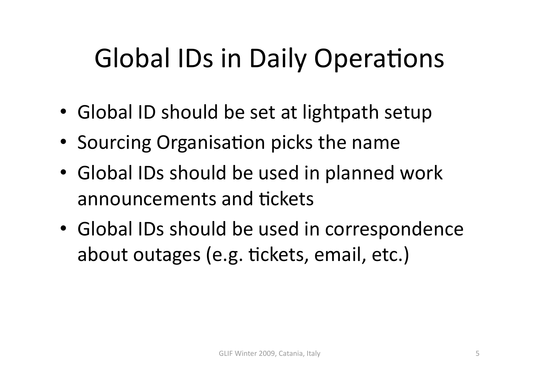# Global IDs in Daily Operations

- Global ID should be set at lightpath setup
- Sourcing Organisation picks the name
- Global IDs should be used in planned work announcements and tickets
- Global IDs should be used in correspondence about outages (e.g. tickets, email, etc.)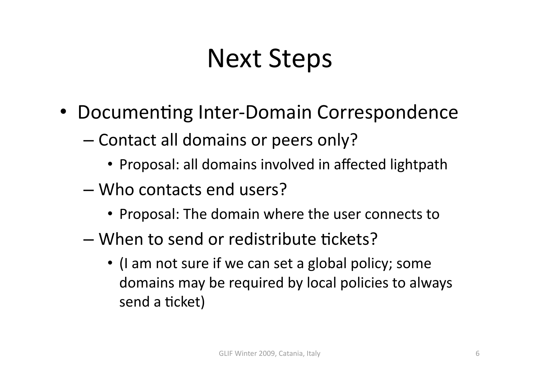### Next
Steps

- Documenting Inter-Domain Correspondence
	- Contact
	all
	domains
	or
	peers
	only?
		- Proposal: all domains involved in affected lightpath
	- Who
	contacts
	end
	users?
		- Proposal: The domain where the user connects to
	- When to send or redistribute tickets?
		- (I am not sure if we can set a global policy; some domains
		may
		be
		required
		by
		local
		policies
		to
		always send a ticket)